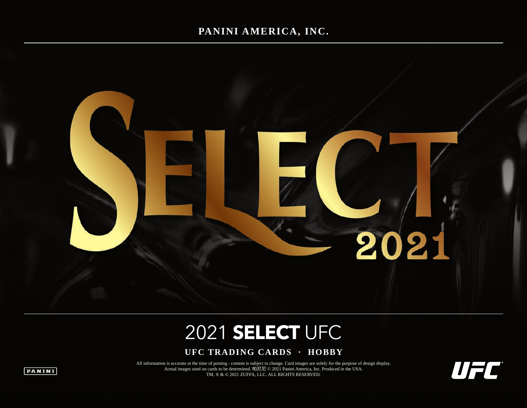## **PANINI AMERICA, INC.**



# 2021 **SELECT** UFC

### **UFC TRADING CARDS · HOBBY**

All information is accurate at the time of posting - content is subject to change. Card images are solely for the purpose of design display. Actual images used on cards to be determined. 帕尼尼 © 2021 Panini America, Inc. Produced in the USA. TM, ® & © 2021 ZUFFA, LLC. ALL RIGHTS RESERVED.

UFC

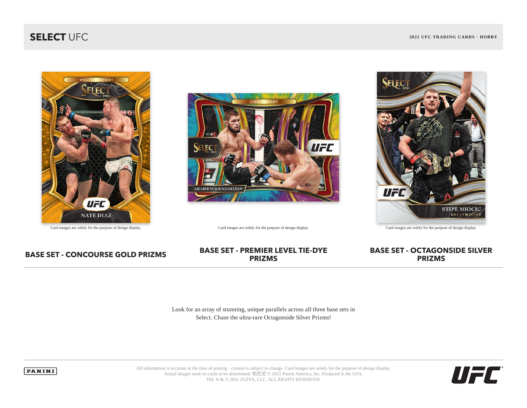## **SELECT** UFC **2021 UFC TRADING CARDS · HOBBY**





Card images are solely for the purpose of design display. Card images are solely for the purpose of design display. Card images are solely for the purpose of design display.



### **BASE SET - CONCOURSE GOLD PRIZMS BASE SET - PREMIER LEVEL TIE-DYE PRIZMS**

### **BASE SET - OCTAGONSIDE SILVER PRIZMS**

Look for an array of stunning, unique parallels across all three base sets in Select. Chase the ultra-rare Octagonside Silver Prizms!



All information is accurate at the time of posting - content is subject to change. Card images are solely for the purpose of design display. Actual images used on cards to be determined. 帕尼尼 © 2021 Panini America, Inc. Produced in the USA. TM, ® & © 2021 ZUFFA, LLC. ALL RIGHTS RESERVED.

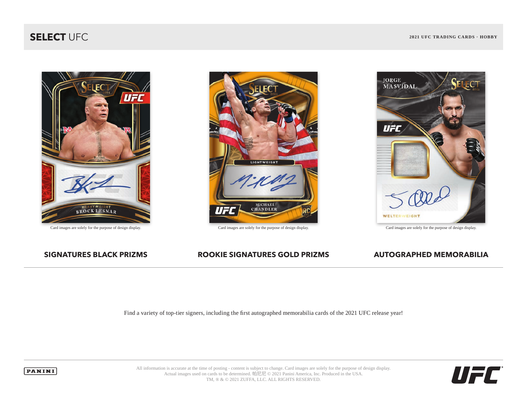## **SELECT** UFC **2021 UFC TRADING CARDS · HOBBY**





Card images are solely for the purpose of design display. Card images are solely for the purpose of design display. Card images are solely for the purpose of design display.



### **SIGNATURES BLACK PRIZMS ROOKIE SIGNATURES GOLD PRIZMS AUTOGRAPHED MEMORABILIA**

Find a variety of top-tier signers, including the first autographed memorabilia cards of the 2021 UFC release year!



All information is accurate at the time of posting - content is subject to change. Card images are solely for the purpose of design display. Actual images used on cards to be determined. 帕尼尼 © 2021 Panini America, Inc. Produced in the USA. TM, ® & © 2021 ZUFFA, LLC. ALL RIGHTS RESERVED.

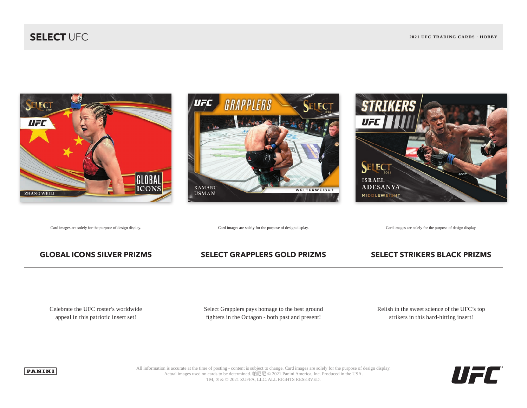





Card images are solely for the purpose of design display. Card images are solely for the purpose of design display. Card images are solely for the purpose of design display.

### **GLOBAL ICONS SILVER PRIZMS SELECT GRAPPLERS GOLD PRIZMS SELECT STRIKERS BLACK PRIZMS**

Celebrate the UFC roster's worldwide appeal in this patriotic insert set!

Select Grapplers pays homage to the best ground fighters in the Octagon - both past and present!

Relish in the sweet science of the UFC's top strikers in this hard-hitting insert!



All information is accurate at the time of posting - content is subject to change. Card images are solely for the purpose of design display. Actual images used on cards to be determined. 帕尼尼 © 2021 Panini America, Inc. Produced in the USA. TM, ® & © 2021 ZUFFA, LLC. ALL RIGHTS RESERVED.